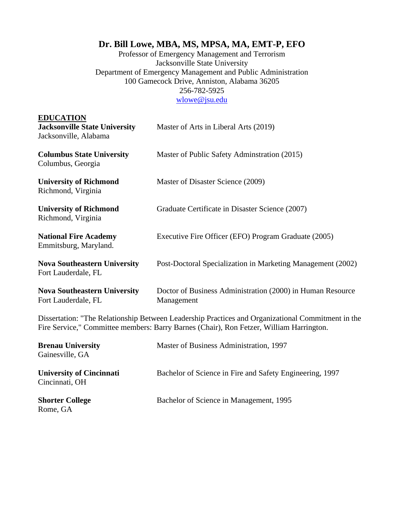# **Dr. Bill Lowe, MBA, MS, MPSA, MA, EMT-P, EFO**

Professor of Emergency Management and Terrorism Jacksonville State University Department of Emergency Management and Public Administration 100 Gamecock Drive, Anniston, Alabama 36205 256-782-5925 [wlowe@jsu.edu](mailto:wlowe@jsu.edu)

| <b>EDUCATION</b><br><b>Jacksonville State University</b><br>Jacksonville, Alabama                                                                                                            | Master of Arts in Liberal Arts (2019)                                    |
|----------------------------------------------------------------------------------------------------------------------------------------------------------------------------------------------|--------------------------------------------------------------------------|
| <b>Columbus State University</b><br>Columbus, Georgia                                                                                                                                        | Master of Public Safety Adminstration (2015)                             |
| <b>University of Richmond</b><br>Richmond, Virginia                                                                                                                                          | Master of Disaster Science (2009)                                        |
| <b>University of Richmond</b><br>Richmond, Virginia                                                                                                                                          | Graduate Certificate in Disaster Science (2007)                          |
| <b>National Fire Academy</b><br>Emmitsburg, Maryland.                                                                                                                                        | Executive Fire Officer (EFO) Program Graduate (2005)                     |
| <b>Nova Southeastern University</b><br>Fort Lauderdale, FL                                                                                                                                   | Post-Doctoral Specialization in Marketing Management (2002)              |
| <b>Nova Southeastern University</b><br>Fort Lauderdale, FL                                                                                                                                   | Doctor of Business Administration (2000) in Human Resource<br>Management |
| Dissertation: "The Relationship Between Leadership Practices and Organizational Commitment in the<br>Fire Service," Committee members: Barry Barnes (Chair), Ron Fetzer, William Harrington. |                                                                          |
| <b>Brenau University</b><br>Gainesville, GA                                                                                                                                                  | Master of Business Administration, 1997                                  |
| <b>University of Cincinnati</b><br>Cincinnati, OH                                                                                                                                            | Bachelor of Science in Fire and Safety Engineering, 1997                 |
| <b>Shorter College</b><br>Rome, GA                                                                                                                                                           | Bachelor of Science in Management, 1995                                  |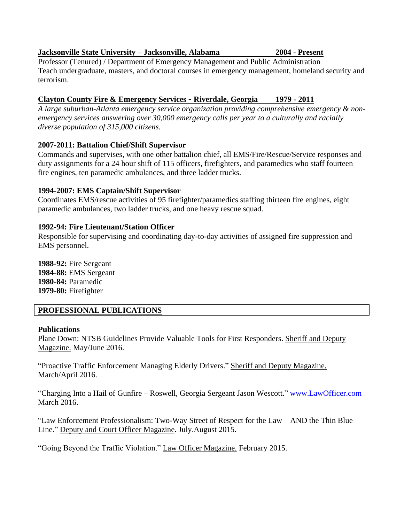#### **Jacksonville State University – Jacksonville, Alabama 2004 - Present**

Professor (Tenured) / Department of Emergency Management and Public Administration Teach undergraduate, masters, and doctoral courses in emergency management, homeland security and terrorism.

### **Clayton County Fire & Emergency Services - Riverdale, Georgia 1979 - 2011**

*A large suburban-Atlanta emergency service organization providing comprehensive emergency & nonemergency services answering over 30,000 emergency calls per year to a culturally and racially diverse population of 315,000 citizens.* 

### **2007-2011: Battalion Chief/Shift Supervisor**

Commands and supervises, with one other battalion chief, all EMS/Fire/Rescue/Service responses and duty assignments for a 24 hour shift of 115 officers, firefighters, and paramedics who staff fourteen fire engines, ten paramedic ambulances, and three ladder trucks.

### **1994-2007: EMS Captain/Shift Supervisor**

Coordinates EMS/rescue activities of 95 firefighter/paramedics staffing thirteen fire engines, eight paramedic ambulances, two ladder trucks, and one heavy rescue squad.

### **1992-94: Fire Lieutenant/Station Officer**

Responsible for supervising and coordinating day-to-day activities of assigned fire suppression and EMS personnel.

**1988-92:** Fire Sergeant **1984-88:** EMS Sergeant **1980-84:** Paramedic **1979-80:** Firefighter

# **PROFESSIONAL PUBLICATIONS**

### **Publications**

Plane Down: NTSB Guidelines Provide Valuable Tools for First Responders. Sheriff and Deputy Magazine. May/June 2016.

"Proactive Traffic Enforcement Managing Elderly Drivers." Sheriff and Deputy Magazine. March/April 2016.

"Charging Into a Hail of Gunfire – Roswell, Georgia Sergeant Jason Wescott." [www.LawOfficer.com](http://www.lawofficer.com/) March 2016.

"Law Enforcement Professionalism: Two-Way Street of Respect for the Law – AND the Thin Blue Line." Deputy and Court Officer Magazine. July.August 2015.

"Going Beyond the Traffic Violation." Law Officer Magazine. February 2015.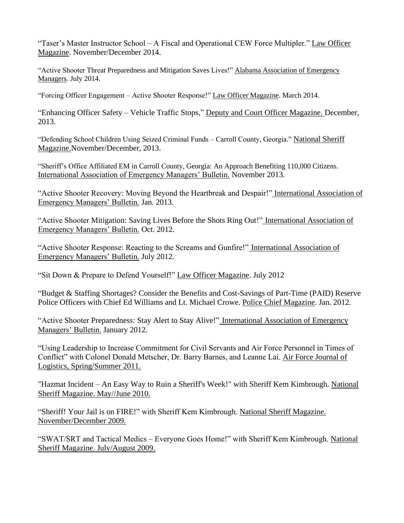"Taser's Master Instructor School – A Fiscal and Operational CEW Force Multipler." Law Officer Magazine. November/December 2014.

"Active Shooter Threat Preparedness and Mitigation Saves Lives!" Alabama Association of Emergency Managers. July 2014.

"Forcing Officer Engagement – Active Shooter Response!" Law Officer Magazine. March 2014.

"Enhancing Officer Safety – Vehicle Traffic Stops," Deputy and Court Officer Magazine. December, 2013.

"Defending School Children Using Seized Criminal Funds – Carroll County, Georgia." National Sheriff Magazine.November/December, 2013.

"Sheriff's Office Affiliated EM in Carroll County, Georgia: An Approach Benefiting 110,000 Citizens. International Association of Emergency Managers' Bulletin. November 2013.

"Active Shooter Recovery: Moving Beyond the Heartbreak and Despair!" International Association of Emergency Managers' Bulletin. Jan. 2013.

"Active Shooter Mitigation: Saving Lives Before the Shots Ring Out!" International Association of Emergency Managers' Bulletin. Oct. 2012.

"Active Shooter Response: Reacting to the Screams and Gunfire!" International Association of Emergency Managers' Bulletin. July 2012.

"Sit Down & Prepare to Defend Yourself!" Law Officer Magazine. July 2012

"Budget & Staffing Shortages? Consider the Benefits and Cost-Savings of Part-Time (PAID) Reserve Police Officers with Chief Ed Williams and Lt. Michael Crowe. Police Chief Magazine. Jan. 2012.

"Active Shooter Preparedness: Stay Alert to Stay Alive!" International Association of Emergency Managers' Bulletin. January 2012.

"Using Leadership to Increase Commitment for Civil Servants and Air Force Personnel in Times of Conflict" with Colonel Donald Metscher, Dr. Barry Barnes, and Leanne Lai. Air Force Journal of Logistics, Spring/Summer 2011.

"Hazmat Incident – An Easy Way to Ruin a Sheriff's Week!" with Sheriff Kem Kimbrough. National Sheriff Magazine. May//June 2010.

"Sheriff! Your Jail is on FIRE!" with Sheriff Kem Kimbrough. National Sheriff Magazine. November/December 2009.

"SWAT/SRT and Tactical Medics – Everyone Goes Home!" with Sheriff Kem Kimbrough. National Sheriff Magazine. July/August 2009.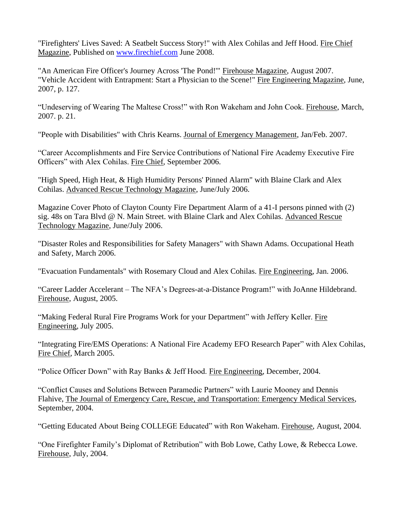"Firefighters' Lives Saved: A Seatbelt Success Story!" with Alex Cohilas and Jeff Hood. Fire Chief Magazine, Published on [www.firechief.com](http://www.firechief.com/) June 2008.

"An American Fire Officer's Journey Across 'The Pond!'" Firehouse Magazine, August 2007. "Vehicle Accident with Entrapment: Start a Physician to the Scene!" Fire Engineering Magazine, June, 2007, p. 127.

"Undeserving of Wearing The Maltese Cross!" with Ron Wakeham and John Cook. Firehouse, March, 2007. p. 21.

"People with Disabilities" with Chris Kearns. Journal of Emergency Management, Jan/Feb. 2007.

"Career Accomplishments and Fire Service Contributions of National Fire Academy Executive Fire Officers" with Alex Cohilas. Fire Chief, September 2006.

"High Speed, High Heat, & High Humidity Persons' Pinned Alarm" with Blaine Clark and Alex Cohilas. Advanced Rescue Technology Magazine, June/July 2006.

Magazine Cover Photo of Clayton County Fire Department Alarm of a 41-I persons pinned with (2) sig. 48s on Tara Blvd @ N. Main Street. with Blaine Clark and Alex Cohilas. Advanced Rescue Technology Magazine, June/July 2006.

"Disaster Roles and Responsibilities for Safety Managers" with Shawn Adams. Occupational Heath and Safety, March 2006.

"Evacuation Fundamentals" with Rosemary Cloud and Alex Cohilas. Fire Engineering, Jan. 2006.

"Career Ladder Accelerant – The NFA's Degrees-at-a-Distance Program!" with JoAnne Hildebrand. Firehouse, August, 2005.

"Making Federal Rural Fire Programs Work for your Department" with Jeffery Keller. Fire Engineering, July 2005.

"Integrating Fire/EMS Operations: A National Fire Academy EFO Research Paper" with Alex Cohilas, Fire Chief, March 2005.

"Police Officer Down" with Ray Banks & Jeff Hood. Fire Engineering, December, 2004.

"Conflict Causes and Solutions Between Paramedic Partners" with Laurie Mooney and Dennis Flahive, The Journal of Emergency Care, Rescue, and Transportation: Emergency Medical Services, September, 2004.

"Getting Educated About Being COLLEGE Educated" with Ron Wakeham. Firehouse, August, 2004.

"One Firefighter Family's Diplomat of Retribution" with Bob Lowe, Cathy Lowe, & Rebecca Lowe. Firehouse, July, 2004.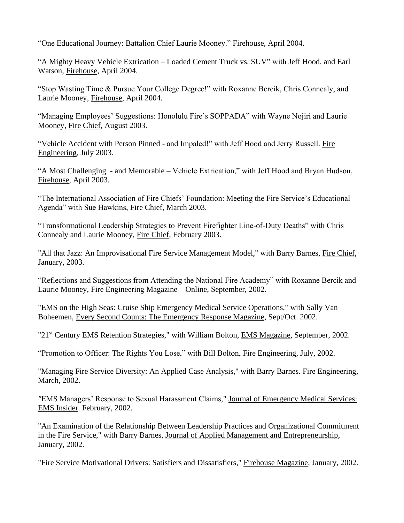"One Educational Journey: Battalion Chief Laurie Mooney." Firehouse, April 2004.

"A Mighty Heavy Vehicle Extrication – Loaded Cement Truck vs. SUV" with Jeff Hood, and Earl Watson, Firehouse, April 2004.

"Stop Wasting Time & Pursue Your College Degree!" with Roxanne Bercik, Chris Connealy, and Laurie Mooney, Firehouse, April 2004.

"Managing Employees' Suggestions: Honolulu Fire's SOPPADA" with Wayne Nojiri and Laurie Mooney, Fire Chief, August 2003.

"Vehicle Accident with Person Pinned - and Impaled!" with Jeff Hood and Jerry Russell. Fire Engineering, July 2003.

"A Most Challenging - and Memorable – Vehicle Extrication," with Jeff Hood and Bryan Hudson, Firehouse, April 2003.

"The International Association of Fire Chiefs' Foundation: Meeting the Fire Service's Educational Agenda" with Sue Hawkins, Fire Chief, March 2003.

"Transformational Leadership Strategies to Prevent Firefighter Line-of-Duty Deaths" with Chris Connealy and Laurie Mooney, Fire Chief, February 2003.

"All that Jazz: An Improvisational Fire Service Management Model," with Barry Barnes, Fire Chief, January, 2003.

"Reflections and Suggestions from Attending the National Fire Academy" with Roxanne Bercik and Laurie Mooney, Fire Engineering Magazine – Online, September, 2002.

"EMS on the High Seas: Cruise Ship Emergency Medical Service Operations," with Sally Van Boheemen, Every Second Counts: The Emergency Response Magazine, Sept/Oct. 2002.

"21<sup>st</sup> Century EMS Retention Strategies," with William Bolton, **EMS Magazine**, September, 2002.

"Promotion to Officer: The Rights You Lose," with Bill Bolton, Fire Engineering, July, 2002.

"Managing Fire Service Diversity: An Applied Case Analysis," with Barry Barnes. Fire Engineering, March, 2002.

*"*EMS Managers' Response to Sexual Harassment Claims," Journal of Emergency Medical Services: EMS Insider. February, 2002.

"An Examination of the Relationship Between Leadership Practices and Organizational Commitment in the Fire Service," with Barry Barnes, Journal of Applied Management and Entrepreneurship, January, 2002.

"Fire Service Motivational Drivers: Satisfiers and Dissatisfiers," Firehouse Magazine, January, 2002.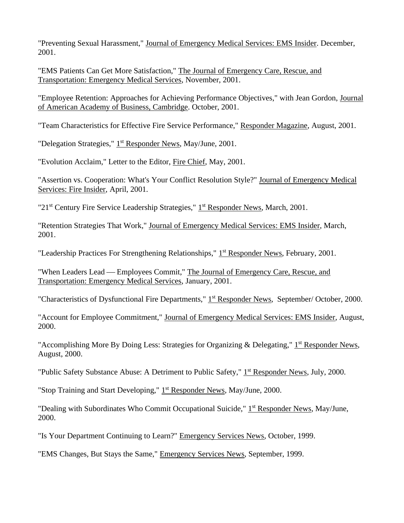"Preventing Sexual Harassment," Journal of Emergency Medical Services: EMS Insider. December, 2001.

"EMS Patients Can Get More Satisfaction," The Journal of Emergency Care, Rescue, and Transportation: Emergency Medical Services, November, 2001.

"Employee Retention: Approaches for Achieving Performance Objectives," with Jean Gordon, Journal of American Academy of Business, Cambridge. October, 2001.

"Team Characteristics for Effective Fire Service Performance," Responder Magazine, August, 2001.

"Delegation Strategies," 1<sup>st</sup> Responder News, May/June, 2001.

"Evolution Acclaim," Letter to the Editor, Fire Chief, May, 2001.

"Assertion vs. Cooperation: What's Your Conflict Resolution Style?" Journal of Emergency Medical Services: Fire Insider, April, 2001.

"21<sup>st</sup> Century Fire Service Leadership Strategies," 1<sup>st</sup> Responder News, March, 2001.

"Retention Strategies That Work," Journal of Emergency Medical Services: EMS Insider, March, 2001.

"Leadership Practices For Strengthening Relationships," 1<sup>st</sup> Responder News, February, 2001.

"When Leaders Lead — Employees Commit," The Journal of Emergency Care, Rescue, and Transportation: Emergency Medical Services, January, 2001.

"Characteristics of Dysfunctional Fire Departments," 1<sup>st</sup> Responder News, September/ October, 2000.

"Account for Employee Commitment," Journal of Emergency Medical Services: EMS Insider, August, 2000.

"Accomplishing More By Doing Less: Strategies for Organizing & Delegating," 1<sup>st</sup> Responder News, August, 2000.

"Public Safety Substance Abuse: A Detriment to Public Safety," 1<sup>st</sup> Responder News, July, 2000.

"Stop Training and Start Developing," 1<sup>st</sup> Responder News, May/June, 2000.

"Dealing with Subordinates Who Commit Occupational Suicide," 1<sup>st</sup> Responder News, May/June, 2000.

"Is Your Department Continuing to Learn?" Emergency Services News, October, 1999.

"EMS Changes, But Stays the Same," Emergency Services News, September, 1999.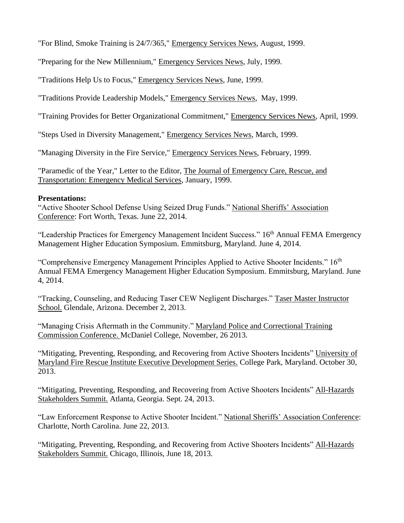"For Blind, Smoke Training is 24/7/365," Emergency Services News, August, 1999.

"Preparing for the New Millennium," Emergency Services News, July, 1999.

"Traditions Help Us to Focus," Emergency Services News, June, 1999.

"Traditions Provide Leadership Models," Emergency Services News, May, 1999.

"Training Provides for Better Organizational Commitment," Emergency Services News, April, 1999.

"Steps Used in Diversity Management," Emergency Services News, March, 1999.

"Managing Diversity in the Fire Service," Emergency Services News, February, 1999.

"Paramedic of the Year," Letter to the Editor, The Journal of Emergency Care, Rescue, and Transportation: Emergency Medical Services, January, 1999.

#### **Presentations:**

"Active Shooter School Defense Using Seized Drug Funds." National Sheriffs' Association Conference: Fort Worth, Texas. June 22, 2014.

"Leadership Practices for Emergency Management Incident Success." 16<sup>th</sup> Annual FEMA Emergency Management Higher Education Symposium. Emmitsburg, Maryland. June 4, 2014.

"Comprehensive Emergency Management Principles Applied to Active Shooter Incidents." 16th Annual FEMA Emergency Management Higher Education Symposium. Emmitsburg, Maryland. June 4, 2014.

"Tracking, Counseling, and Reducing Taser CEW Negligent Discharges." Taser Master Instructor School. Glendale, Arizona. December 2, 2013.

"Managing Crisis Aftermath in the Community." Maryland Police and Correctional Training Commission Conference. McDaniel College, November, 26 2013.

"Mitigating, Preventing, Responding, and Recovering from Active Shooters Incidents" University of Maryland Fire Rescue Institute Executive Development Series. College Park, Maryland. October 30, 2013.

"Mitigating, Preventing, Responding, and Recovering from Active Shooters Incidents" All-Hazards Stakeholders Summit. Atlanta, Georgia. Sept. 24, 2013.

"Law Enforcement Response to Active Shooter Incident." National Sheriffs' Association Conference: Charlotte, North Carolina. June 22, 2013.

"Mitigating, Preventing, Responding, and Recovering from Active Shooters Incidents" All-Hazards Stakeholders Summit. Chicago, Illinois, June 18, 2013.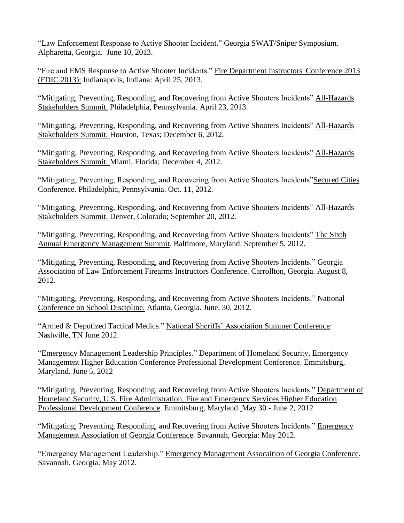"Law Enforcement Response to Active Shooter Incident." Georgia SWAT/Sniper Symposium. Alpharetta, Georgia. June 10, 2013.

"Fire and EMS Response to Active Shooter Incidents." Fire Department Instructors' Conference 2013 (FDIC 2013): Indianapolis, Indiana: April 25, 2013.

"Mitigating, Preventing, Responding, and Recovering from Active Shooters Incidents" All-Hazards Stakeholders Summit. Philadelphia, Pennsylvania. April 23, 2013.

"Mitigating, Preventing, Responding, and Recovering from Active Shooters Incidents" All-Hazards Stakeholders Summit. Houston, Texas; December 6, 2012.

"Mitigating, Preventing, Responding, and Recovering from Active Shooters Incidents" All-Hazards Stakeholders Summit. Miami, Florida; December 4, 2012.

"Mitigating, Preventing, Responding, and Recovering from Active Shooters Incidents"Secured Cities Conference. Philadelphia, Pennsylvania. Oct. 11, 2012.

"Mitigating, Preventing, Responding, and Recovering from Active Shooters Incidents" All-Hazards Stakeholders Summit. Denver, Colorado; September 20, 2012.

"Mitigating, Preventing, Responding, and Recovering from Active Shooters Incidents" The Sixth Annual Emergency Management Summit. Baltimore, Maryland. September 5, 2012.

"Mitigating, Preventing, Responding, and Recovering from Active Shooters Incidents." Georgia Association of Law Enforcement Firearms Instructors Conference. Carrollton, Georgia. August 8, 2012.

"Mitigating, Preventing, Responding, and Recovering from Active Shooters Incidents." National Conference on School Discipline. Atlanta, Georgia. June, 30, 2012.

"Armed & Deputized Tactical Medics." National Sheriffs' Association Summer Conference: Nashville, TN June 2012.

"Emergency Management Leadership Principles." Department of Homeland Security, Emergency Management Higher Education Conference Professional Development Conference. Emmitsburg, Maryland. June 5, 2012

"Mitigating, Preventing, Responding, and Recovering from Active Shooters Incidents." Department of Homeland Security, U.S. Fire Administration, Fire and Emergency Services Higher Education Professional Development Conference. Emmitsburg, Maryland. May 30 - June 2, 2012

"Mitigating, Preventing, Responding, and Recovering from Active Shooters Incidents." Emergency Management Association of Georgia Conference. Savannah, Georgia: May 2012.

"Emergency Management Leadership." Emergency Management Assocaition of Georgia Conference. Savannah, Georgia: May 2012.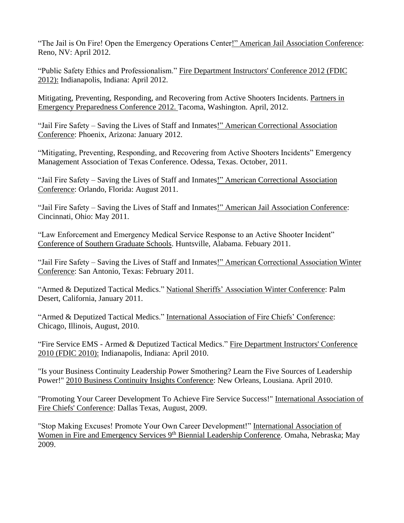"The Jail is On Fire! Open the Emergency Operations Center!" American Jail Association Conference: Reno, NV: April 2012.

"Public Safety Ethics and Professionalism." Fire Department Instructors' Conference 2012 (FDIC 2012): Indianapolis, Indiana: April 2012.

Mitigating, Preventing, Responding, and Recovering from Active Shooters Incidents. Partners in Emergency Preparedness Conference 2012. Tacoma, Washington. April, 2012.

"Jail Fire Safety – Saving the Lives of Staff and Inmates!" American Correctional Association Conference: Phoenix, Arizona: January 2012.

"Mitigating, Preventing, Responding, and Recovering from Active Shooters Incidents" Emergency Management Association of Texas Conference. Odessa, Texas. October, 2011.

"Jail Fire Safety – Saving the Lives of Staff and Inmates!" American Correctional Association Conference: Orlando, Florida: August 2011.

"Jail Fire Safety – Saving the Lives of Staff and Inmates!" American Jail Association Conference: Cincinnati, Ohio: May 2011.

"Law Enforcement and Emergency Medical Service Response to an Active Shooter Incident" Conference of Southern Graduate Schools. Huntsville, Alabama. Febuary 2011.

"Jail Fire Safety – Saving the Lives of Staff and Inmates!" American Correctional Association Winter Conference: San Antonio, Texas: February 2011.

"Armed & Deputized Tactical Medics." National Sheriffs' Association Winter Conference: Palm Desert, California, January 2011.

"Armed & Deputized Tactical Medics." International Association of Fire Chiefs' Conference: Chicago, Illinois, August, 2010.

"Fire Service EMS - Armed & Deputized Tactical Medics." Fire Department Instructors' Conference 2010 (FDIC 2010): Indianapolis, Indiana: April 2010.

"Is your Business Continuity Leadership Power Smothering? Learn the Five Sources of Leadership Power!" 2010 Business Continuity Insights Conference: New Orleans, Lousiana. April 2010.

"Promoting Your Career Development To Achieve Fire Service Success!" International Association of Fire Chiefs' Conference: Dallas Texas, August, 2009.

"Stop Making Excuses! Promote Your Own Career Development!" International Association of Women in Fire and Emergency Services 9<sup>th</sup> Biennial Leadership Conference. Omaha, Nebraska; May 2009.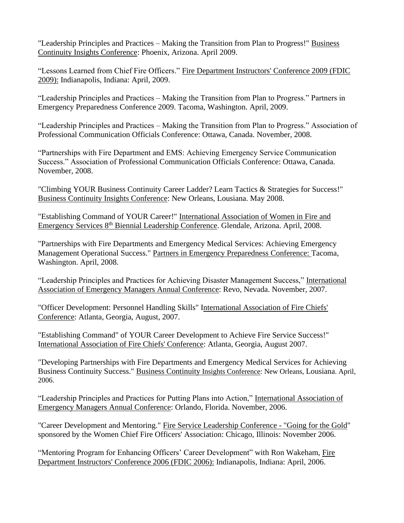"Leadership Principles and Practices – Making the Transition from Plan to Progress!" Business Continuity Insights Conference: Phoenix, Arizona. April 2009.

"Lessons Learned from Chief Fire Officers." Fire Department Instructors' Conference 2009 (FDIC 2009): Indianapolis, Indiana: April, 2009.

"Leadership Principles and Practices – Making the Transition from Plan to Progress." Partners in Emergency Preparedness Conference 2009. Tacoma, Washington. April, 2009.

"Leadership Principles and Practices – Making the Transition from Plan to Progress." Association of Professional Communication Officials Conference: Ottawa, Canada. November, 2008.

"Partnerships with Fire Department and EMS: Achieving Emergency Service Communication Success." Association of Professional Communication Officials Conference: Ottawa, Canada. November, 2008.

"Climbing YOUR Business Continuity Career Ladder? Learn Tactics & Strategies for Success!" Business Continuity Insights Conference: New Orleans, Lousiana. May 2008.

"Establishing Command of YOUR Career!" International Association of Women in Fire and Emergency Services 8th Biennial Leadership Conference. Glendale, Arizona. April, 2008.

"Partnerships with Fire Departments and Emergency Medical Services: Achieving Emergency Management Operational Success." Partners in Emergency Preparedness Conference: Tacoma, Washington. April, 2008.

"Leadership Principles and Practices for Achieving Disaster Management Success," International Association of Emergency Managers Annual Conference: Revo, Nevada. November, 2007.

"Officer Development: Personnel Handling Skills" International Association of Fire Chiefs' Conference: Atlanta, Georgia, August, 2007.

"Establishing Command" of YOUR Career Development to Achieve Fire Service Success!" International Association of Fire Chiefs' Conference: Atlanta, Georgia, August 2007.

"Developing Partnerships with Fire Departments and Emergency Medical Services for Achieving Business Continuity Success." Business Continuity Insights Conference: New Orleans, Lousiana. April, 2006.

"Leadership Principles and Practices for Putting Plans into Action," International Association of Emergency Managers Annual Conference: Orlando, Florida. November, 2006.

"Career Development and Mentoring." Fire Service Leadership Conference - "Going for the Gold" sponsored by the Women Chief Fire Officers' Association: Chicago, Illinois: November 2006.

"Mentoring Program for Enhancing Officers' Career Development" with Ron Wakeham, Fire Department Instructors' Conference 2006 (FDIC 2006): Indianapolis, Indiana: April, 2006.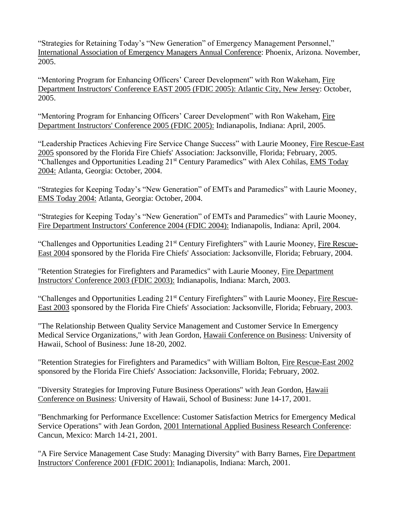"Strategies for Retaining Today's "New Generation" of Emergency Management Personnel," International Association of Emergency Managers Annual Conference: Phoenix, Arizona. November, 2005.

"Mentoring Program for Enhancing Officers' Career Development" with Ron Wakeham, Fire Department Instructors' Conference EAST 2005 (FDIC 2005): Atlantic City, New Jersey: October, 2005.

"Mentoring Program for Enhancing Officers' Career Development" with Ron Wakeham, Fire Department Instructors' Conference 2005 (FDIC 2005): Indianapolis, Indiana: April, 2005.

"Leadership Practices Achieving Fire Service Change Success" with Laurie Mooney, Fire Rescue-East 2005 sponsored by the Florida Fire Chiefs' Association: Jacksonville, Florida; February, 2005. "Challenges and Opportunities Leading 21<sup>st</sup> Century Paramedics" with Alex Cohilas, EMS Today 2004: Atlanta, Georgia: October, 2004.

"Strategies for Keeping Today's "New Generation" of EMTs and Paramedics" with Laurie Mooney, EMS Today 2004: Atlanta, Georgia: October, 2004.

"Strategies for Keeping Today's "New Generation" of EMTs and Paramedics" with Laurie Mooney, Fire Department Instructors' Conference 2004 (FDIC 2004): Indianapolis, Indiana: April, 2004.

"Challenges and Opportunities Leading 21st Century Firefighters" with Laurie Mooney, Fire Rescue-East 2004 sponsored by the Florida Fire Chiefs' Association: Jacksonville, Florida; February, 2004.

"Retention Strategies for Firefighters and Paramedics" with Laurie Mooney, Fire Department Instructors' Conference 2003 (FDIC 2003): Indianapolis, Indiana: March, 2003.

"Challenges and Opportunities Leading 21st Century Firefighters" with Laurie Mooney, Fire Rescue-East 2003 sponsored by the Florida Fire Chiefs' Association: Jacksonville, Florida; February, 2003.

"The Relationship Between Quality Service Management and Customer Service In Emergency Medical Service Organizations," with Jean Gordon, Hawaii Conference on Business: University of Hawaii, School of Business: June 18-20, 2002.

"Retention Strategies for Firefighters and Paramedics" with William Bolton, Fire Rescue-East 2002 sponsored by the Florida Fire Chiefs' Association: Jacksonville, Florida; February, 2002.

"Diversity Strategies for Improving Future Business Operations" with Jean Gordon, Hawaii Conference on Business: University of Hawaii, School of Business: June 14-17, 2001.

"Benchmarking for Performance Excellence: Customer Satisfaction Metrics for Emergency Medical Service Operations" with Jean Gordon, 2001 International Applied Business Research Conference: Cancun, Mexico: March 14-21, 2001.

"A Fire Service Management Case Study: Managing Diversity" with Barry Barnes, Fire Department Instructors' Conference 2001 (FDIC 2001): Indianapolis, Indiana: March, 2001.